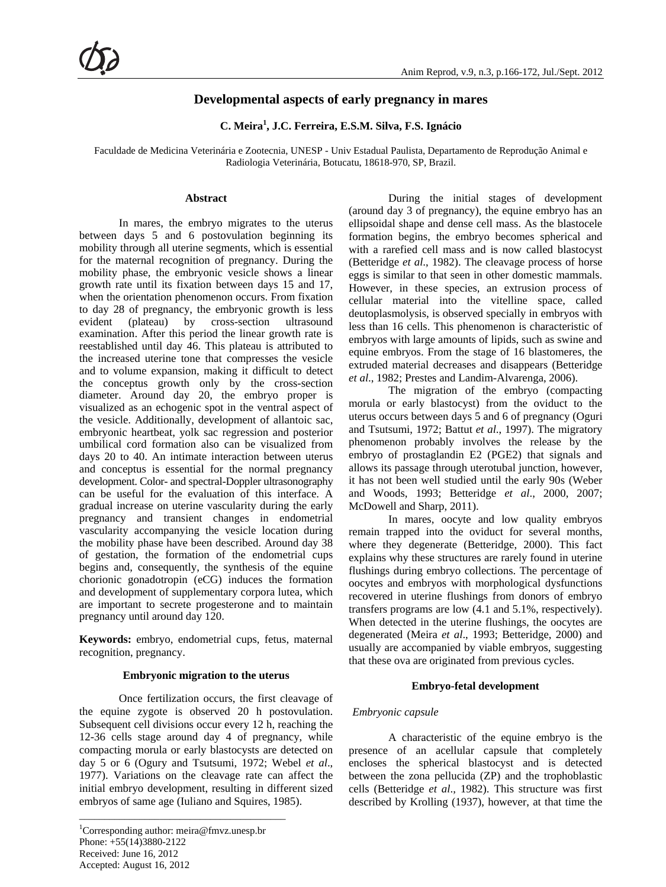# **Developmental aspects of early pregnancy in mares**

**C. Meira<sup>1</sup> , J.C. Ferreira, E.S.M. Silva, F.S. Ignácio**

Faculdade de Medicina Veterinária e Zootecnia, UNESP - Univ Estadual Paulista, Departamento de Reprodução Animal e Radiologia Veterinária, Botucatu, 18618-970, SP, Brazil.

#### **Abstract**

In mares, the embryo migrates to the uterus between days 5 and 6 postovulation beginning its mobility through all uterine segments, which is essential for the maternal recognition of pregnancy. During the mobility phase, the embryonic vesicle shows a linear growth rate until its fixation between days 15 and 17, when the orientation phenomenon occurs. From fixation to day 28 of pregnancy, the embryonic growth is less evident (plateau) by cross-section ultrasound examination. After this period the linear growth rate is reestablished until day 46. This plateau is attributed to the increased uterine tone that compresses the vesicle and to volume expansion, making it difficult to detect the conceptus growth only by the cross-section diameter. Around day 20, the embryo proper is visualized as an echogenic spot in the ventral aspect of the vesicle. Additionally, development of allantoic sac, embryonic heartbeat, yolk sac regression and posterior umbilical cord formation also can be visualized from days 20 to 40. An intimate interaction between uterus and conceptus is essential for the normal pregnancy development. Color- and spectral-Doppler ultrasonography can be useful for the evaluation of this interface. A gradual increase on uterine vascularity during the early pregnancy and transient changes in endometrial vascularity accompanying the vesicle location during the mobility phase have been described. Around day 38 of gestation, the formation of the endometrial cups begins and, consequently, the synthesis of the equine chorionic gonadotropin (eCG) induces the formation and development of supplementary corpora lutea, which are important to secrete progesterone and to maintain pregnancy until around day 120.

**Keywords:** embryo, endometrial cups, fetus, maternal recognition, pregnancy.

#### **Embryonic migration to the uterus**

Once fertilization occurs, the first cleavage of the equine zygote is observed 20 h postovulation. Subsequent cell divisions occur every 12 h, reaching the 12-36 cells stage around day 4 of pregnancy, while compacting morula or early blastocysts are detected on day 5 or 6 (Ogury and Tsutsumi, 1972; Webel *et al*., 1977). Variations on the cleavage rate can affect the initial embryo development, resulting in different sized embryos of same age (Iuliano and Squires, 1985).

\_\_\_\_\_\_\_\_\_\_\_\_\_\_\_\_\_\_\_\_\_\_\_\_\_\_\_\_\_\_\_\_\_\_\_\_\_\_\_\_\_

During the initial stages of development (around day 3 of pregnancy), the equine embryo has an ellipsoidal shape and dense cell mass. As the blastocele formation begins, the embryo becomes spherical and with a rarefied cell mass and is now called blastocyst (Betteridge *et al*., 1982). The cleavage process of horse eggs is similar to that seen in other domestic mammals. However, in these species, an extrusion process of cellular material into the vitelline space, called deutoplasmolysis, is observed specially in embryos with less than 16 cells. This phenomenon is characteristic of embryos with large amounts of lipids, such as swine and equine embryos. From the stage of 16 blastomeres, the extruded material decreases and disappears (Betteridge *et al*., 1982; Prestes and Landim-Alvarenga, 2006).

The migration of the embryo (compacting morula or early blastocyst) from the oviduct to the uterus occurs between days 5 and 6 of pregnancy (Oguri and Tsutsumi, 1972; Battut *et al*., 1997). The migratory phenomenon probably involves the release by the embryo of prostaglandin E2 (PGE2) that signals and allows its passage through uterotubal junction, however, it has not been well studied until the early 90s (Weber and Woods, 1993; Betteridge *et al*., 2000, 2007; McDowell and Sharp, 2011).

In mares, oocyte and low quality embryos remain trapped into the oviduct for several months, where they degenerate (Betteridge, 2000). This fact explains why these structures are rarely found in uterine flushings during embryo collections. The percentage of oocytes and embryos with morphological dysfunctions recovered in uterine flushings from donors of embryo transfers programs are low (4.1 and 5.1%, respectively). When detected in the uterine flushings, the oocytes are degenerated (Meira *et al*., 1993; Betteridge, 2000) and usually are accompanied by viable embryos, suggesting that these ova are originated from previous cycles.

### **Embryo-fetal development**

#### *Embryonic capsule*

A characteristic of the equine embryo is the presence of an acellular capsule that completely encloses the spherical blastocyst and is detected between the zona pellucida (ZP) and the trophoblastic cells (Betteridge *et al*., 1982). This structure was first described by Krolling (1937), however, at that time the

<sup>&</sup>lt;sup>1</sup>Corresponding author: meira@fmvz.unesp.br Phone: +55(14)3880-2122 Received: June 16, 2012 Accepted: August 16, 2012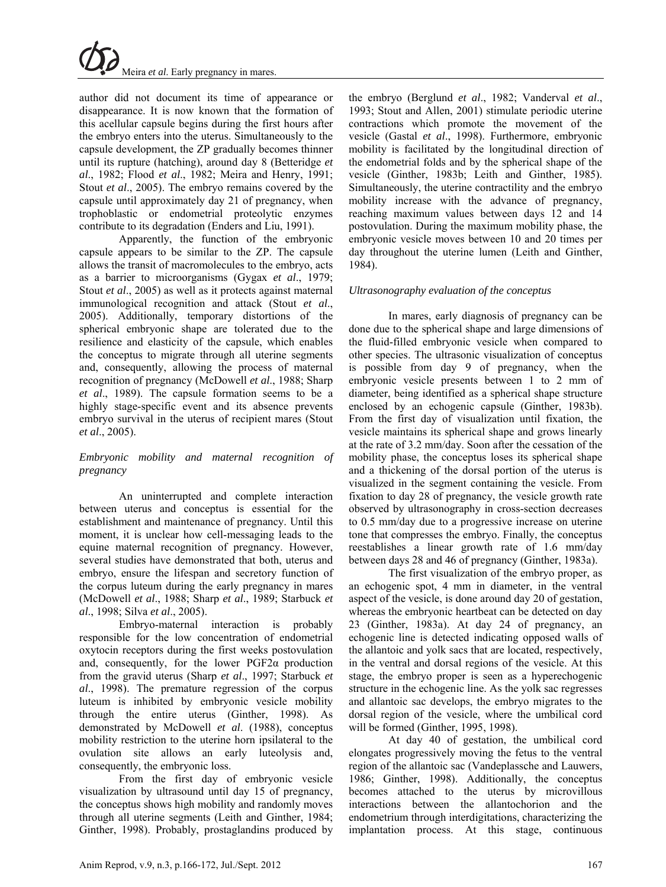author did not document its time of appearance or disappearance. It is now known that the formation of this acellular capsule begins during the first hours after the embryo enters into the uterus. Simultaneously to the capsule development, the ZP gradually becomes thinner until its rupture (hatching), around day 8 (Betteridge *et al*., 1982; Flood *et al*., 1982; Meira and Henry, 1991; Stout *et al*., 2005). The embryo remains covered by the capsule until approximately day 21 of pregnancy, when trophoblastic or endometrial proteolytic enzymes contribute to its degradation (Enders and Liu, 1991).

Apparently, the function of the embryonic capsule appears to be similar to the ZP. The capsule allows the transit of macromolecules to the embryo, acts as a barrier to microorganisms (Gygax *et al*., 1979; Stout *et al.*, 2005) as well as it protects against maternal immunological recognition and attack (Stout *et al*., 2005). Additionally, temporary distortions of the spherical embryonic shape are tolerated due to the resilience and elasticity of the capsule, which enables the conceptus to migrate through all uterine segments and, consequently, allowing the process of maternal recognition of pregnancy (McDowell *et al*., 1988; Sharp *et al*., 1989). The capsule formation seems to be a highly stage-specific event and its absence prevents embryo survival in the uterus of recipient mares (Stout *et al*., 2005).

### *Embryonic mobility and maternal recognition of pregnancy*

An uninterrupted and complete interaction between uterus and conceptus is essential for the establishment and maintenance of pregnancy. Until this moment, it is unclear how cell-messaging leads to the equine maternal recognition of pregnancy. However, several studies have demonstrated that both, uterus and embryo, ensure the lifespan and secretory function of the corpus luteum during the early pregnancy in mares (McDowell *et al*., 1988; Sharp *et al*., 1989; Starbuck *et al*., 1998; Silva *et al*., 2005).

Embryo-maternal interaction is probably responsible for the low concentration of endometrial oxytocin receptors during the first weeks postovulation and, consequently, for the lower  $PGF2\alpha$  production from the gravid uterus (Sharp *et al*., 1997; Starbuck *et al*., 1998). The premature regression of the corpus luteum is inhibited by embryonic vesicle mobility through the entire uterus (Ginther, 1998). As demonstrated by McDowell *et al*. (1988), conceptus mobility restriction to the uterine horn ipsilateral to the ovulation site allows an early luteolysis and, consequently, the embryonic loss.

From the first day of embryonic vesicle visualization by ultrasound until day 15 of pregnancy, the conceptus shows high mobility and randomly moves through all uterine segments (Leith and Ginther, 1984; Ginther, 1998). Probably, prostaglandins produced by the embryo (Berglund *et al*., 1982; Vanderval *et al*., 1993; Stout and Allen, 2001) stimulate periodic uterine contractions which promote the movement of the vesicle (Gastal *et al*., 1998). Furthermore, embryonic mobility is facilitated by the longitudinal direction of the endometrial folds and by the spherical shape of the vesicle (Ginther, 1983b; Leith and Ginther, 1985). Simultaneously, the uterine contractility and the embryo mobility increase with the advance of pregnancy, reaching maximum values between days 12 and 14 postovulation. During the maximum mobility phase, the embryonic vesicle moves between 10 and 20 times per day throughout the uterine lumen (Leith and Ginther, 1984).

### *Ultrasonography evaluation of the conceptus*

In mares, early diagnosis of pregnancy can be done due to the spherical shape and large dimensions of the fluid-filled embryonic vesicle when compared to other species. The ultrasonic visualization of conceptus is possible from day 9 of pregnancy, when the embryonic vesicle presents between 1 to 2 mm of diameter, being identified as a spherical shape structure enclosed by an echogenic capsule (Ginther, 1983b). From the first day of visualization until fixation, the vesicle maintains its spherical shape and grows linearly at the rate of 3.2 mm/day. Soon after the cessation of the mobility phase, the conceptus loses its spherical shape and a thickening of the dorsal portion of the uterus is visualized in the segment containing the vesicle. From fixation to day 28 of pregnancy, the vesicle growth rate observed by ultrasonography in cross-section decreases to 0.5 mm/day due to a progressive increase on uterine tone that compresses the embryo. Finally, the conceptus reestablishes a linear growth rate of 1.6 mm/day between days 28 and 46 of pregnancy (Ginther, 1983a).

The first visualization of the embryo proper, as an echogenic spot, 4 mm in diameter, in the ventral aspect of the vesicle, is done around day 20 of gestation, whereas the embryonic heartbeat can be detected on day 23 (Ginther, 1983a). At day 24 of pregnancy, an echogenic line is detected indicating opposed walls of the allantoic and yolk sacs that are located, respectively, in the ventral and dorsal regions of the vesicle. At this stage, the embryo proper is seen as a hyperechogenic structure in the echogenic line. As the yolk sac regresses and allantoic sac develops, the embryo migrates to the dorsal region of the vesicle, where the umbilical cord will be formed (Ginther, 1995, 1998).

At day 40 of gestation, the umbilical cord elongates progressively moving the fetus to the ventral region of the allantoic sac (Vandeplassche and Lauwers, 1986; Ginther, 1998). Additionally, the conceptus becomes attached to the uterus by microvillous interactions between the allantochorion and the endometrium through interdigitations, characterizing the implantation process. At this stage, continuous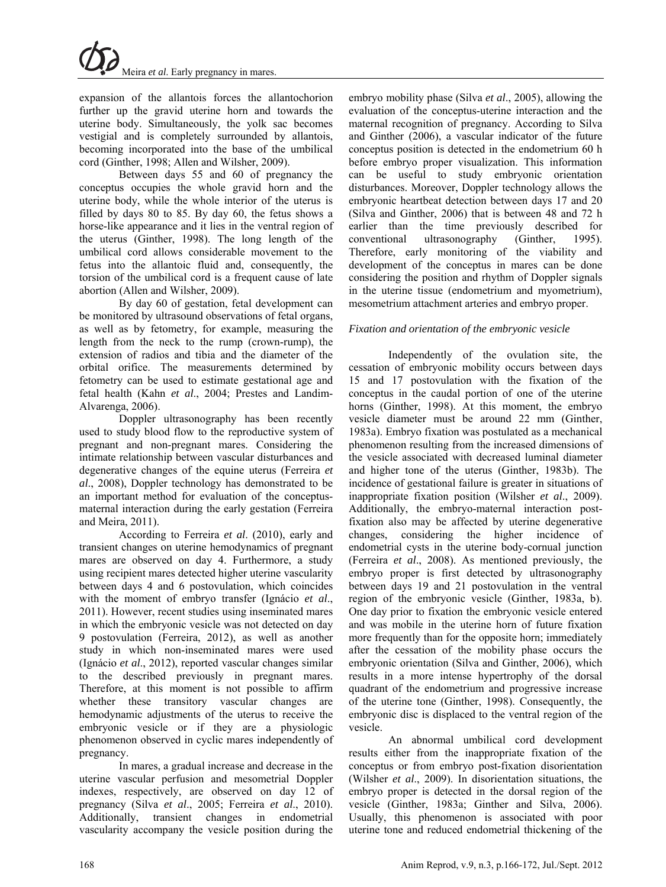expansion of the allantois forces the allantochorion further up the gravid uterine horn and towards the uterine body. Simultaneously, the yolk sac becomes vestigial and is completely surrounded by allantois, becoming incorporated into the base of the umbilical cord (Ginther, 1998; Allen and Wilsher, 2009).

Between days 55 and 60 of pregnancy the conceptus occupies the whole gravid horn and the uterine body, while the whole interior of the uterus is filled by days 80 to 85. By day 60, the fetus shows a horse-like appearance and it lies in the ventral region of the uterus (Ginther, 1998). The long length of the umbilical cord allows considerable movement to the fetus into the allantoic fluid and, consequently, the torsion of the umbilical cord is a frequent cause of late abortion (Allen and Wilsher, 2009).

By day 60 of gestation, fetal development can be monitored by ultrasound observations of fetal organs, as well as by fetometry, for example, measuring the length from the neck to the rump (crown-rump), the extension of radios and tibia and the diameter of the orbital orifice. The measurements determined by fetometry can be used to estimate gestational age and fetal health (Kahn *et al*., 2004; Prestes and Landim-Alvarenga, 2006).

Doppler ultrasonography has been recently used to study blood flow to the reproductive system of pregnant and non-pregnant mares. Considering the intimate relationship between vascular disturbances and degenerative changes of the equine uterus (Ferreira *et al*., 2008), Doppler technology has demonstrated to be an important method for evaluation of the conceptusmaternal interaction during the early gestation (Ferreira and Meira, 2011).

According to Ferreira *et al*. (2010), early and transient changes on uterine hemodynamics of pregnant mares are observed on day 4. Furthermore, a study using recipient mares detected higher uterine vascularity between days 4 and 6 postovulation, which coincides with the moment of embryo transfer (Ignácio *et al*., 2011). However, recent studies using inseminated mares in which the embryonic vesicle was not detected on day 9 postovulation (Ferreira, 2012), as well as another study in which non-inseminated mares were used (Ignácio *et al*., 2012), reported vascular changes similar to the described previously in pregnant mares. Therefore, at this moment is not possible to affirm whether these transitory vascular changes are hemodynamic adjustments of the uterus to receive the embryonic vesicle or if they are a physiologic phenomenon observed in cyclic mares independently of pregnancy.

In mares, a gradual increase and decrease in the uterine vascular perfusion and mesometrial Doppler indexes, respectively, are observed on day 12 of pregnancy (Silva *et al*., 2005; Ferreira *et al*., 2010). Additionally, transient changes in endometrial vascularity accompany the vesicle position during the

embryo mobility phase (Silva *et al*., 2005), allowing the evaluation of the conceptus-uterine interaction and the maternal recognition of pregnancy. According to Silva and Ginther (2006), a vascular indicator of the future conceptus position is detected in the endometrium 60 h before embryo proper visualization. This information can be useful to study embryonic orientation disturbances. Moreover, Doppler technology allows the embryonic heartbeat detection between days 17 and 20 (Silva and Ginther, 2006) that is between 48 and 72 h earlier than the time previously described for conventional ultrasonography (Ginther, 1995). Therefore, early monitoring of the viability and development of the conceptus in mares can be done considering the position and rhythm of Doppler signals in the uterine tissue (endometrium and myometrium), mesometrium attachment arteries and embryo proper.

## *Fixation and orientation of the embryonic vesicle*

Independently of the ovulation site, the cessation of embryonic mobility occurs between days 15 and 17 postovulation with the fixation of the conceptus in the caudal portion of one of the uterine horns (Ginther, 1998). At this moment, the embryo vesicle diameter must be around 22 mm (Ginther, 1983a). Embryo fixation was postulated as a mechanical phenomenon resulting from the increased dimensions of the vesicle associated with decreased luminal diameter and higher tone of the uterus (Ginther, 1983b). The incidence of gestational failure is greater in situations of inappropriate fixation position (Wilsher *et al*., 2009). Additionally, the embryo-maternal interaction postfixation also may be affected by uterine degenerative changes, considering the higher incidence of endometrial cysts in the uterine body-cornual junction (Ferreira *et al*., 2008). As mentioned previously, the embryo proper is first detected by ultrasonography between days 19 and 21 postovulation in the ventral region of the embryonic vesicle (Ginther, 1983a, b). One day prior to fixation the embryonic vesicle entered and was mobile in the uterine horn of future fixation more frequently than for the opposite horn; immediately after the cessation of the mobility phase occurs the embryonic orientation (Silva and Ginther, 2006), which results in a more intense hypertrophy of the dorsal quadrant of the endometrium and progressive increase of the uterine tone (Ginther, 1998). Consequently, the embryonic disc is displaced to the ventral region of the vesicle.

An abnormal umbilical cord development results either from the inappropriate fixation of the conceptus or from embryo post-fixation disorientation (Wilsher *et al*., 2009). In disorientation situations, the embryo proper is detected in the dorsal region of the vesicle (Ginther, 1983a; Ginther and Silva, 2006). Usually, this phenomenon is associated with poor uterine tone and reduced endometrial thickening of the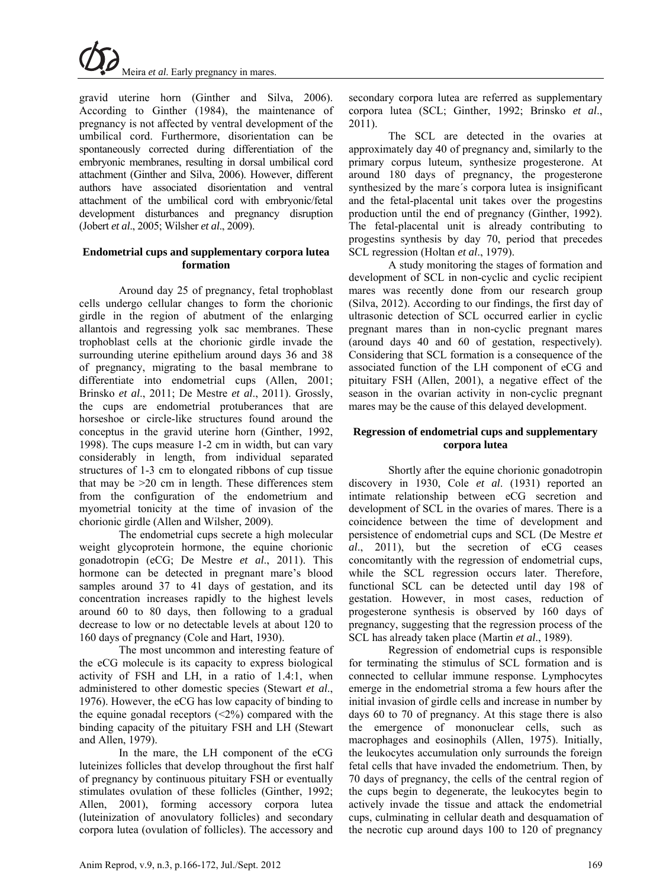

gravid uterine horn (Ginther and Silva, 2006). According to Ginther (1984), the maintenance of pregnancy is not affected by ventral development of the umbilical cord. Furthermore, disorientation can be spontaneously corrected during differentiation of the embryonic membranes, resulting in dorsal umbilical cord attachment (Ginther and Silva, 2006). However, different authors have associated disorientation and ventral attachment of the umbilical cord with embryonic/fetal development disturbances and pregnancy disruption (Jobert *et al*., 2005; Wilsher *et al*., 2009).

### **Endometrial cups and supplementary corpora lutea formation**

Around day 25 of pregnancy, fetal trophoblast cells undergo cellular changes to form the chorionic girdle in the region of abutment of the enlarging allantois and regressing yolk sac membranes. These trophoblast cells at the chorionic girdle invade the surrounding uterine epithelium around days 36 and 38 of pregnancy, migrating to the basal membrane to differentiate into endometrial cups (Allen, 2001; Brinsko *et al*., 2011; De Mestre *et al*., 2011). Grossly, the cups are endometrial protuberances that are horseshoe or circle-like structures found around the conceptus in the gravid uterine horn (Ginther, 1992, 1998). The cups measure 1-2 cm in width, but can vary considerably in length, from individual separated structures of 1-3 cm to elongated ribbons of cup tissue that may be >20 cm in length. These differences stem from the configuration of the endometrium and myometrial tonicity at the time of invasion of the chorionic girdle (Allen and Wilsher, 2009).

The endometrial cups secrete a high molecular weight glycoprotein hormone, the equine chorionic gonadotropin (eCG; De Mestre *et al*., 2011). This hormone can be detected in pregnant mare's blood samples around 37 to 41 days of gestation, and its concentration increases rapidly to the highest levels around 60 to 80 days, then following to a gradual decrease to low or no detectable levels at about 120 to 160 days of pregnancy (Cole and Hart, 1930).

The most uncommon and interesting feature of the eCG molecule is its capacity to express biological activity of FSH and LH, in a ratio of 1.4:1, when administered to other domestic species (Stewart *et al*., 1976). However, the eCG has low capacity of binding to the equine gonadal receptors  $(<2%)$  compared with the binding capacity of the pituitary FSH and LH (Stewart and Allen, 1979).

In the mare, the LH component of the eCG luteinizes follicles that develop throughout the first half of pregnancy by continuous pituitary FSH or eventually stimulates ovulation of these follicles (Ginther, 1992; Allen, 2001), forming accessory corpora lutea (luteinization of anovulatory follicles) and secondary corpora lutea (ovulation of follicles). The accessory and

secondary corpora lutea are referred as supplementary corpora lutea (SCL; Ginther, 1992; Brinsko *et al*., 2011).

The SCL are detected in the ovaries at approximately day 40 of pregnancy and, similarly to the primary corpus luteum, synthesize progesterone. At around 180 days of pregnancy, the progesterone synthesized by the mare´s corpora lutea is insignificant and the fetal-placental unit takes over the progestins production until the end of pregnancy (Ginther, 1992). The fetal-placental unit is already contributing to progestins synthesis by day 70, period that precedes SCL regression (Holtan *et al*., 1979).

A study monitoring the stages of formation and development of SCL in non-cyclic and cyclic recipient mares was recently done from our research group (Silva, 2012). According to our findings, the first day of ultrasonic detection of SCL occurred earlier in cyclic pregnant mares than in non-cyclic pregnant mares (around days 40 and 60 of gestation, respectively). Considering that SCL formation is a consequence of the associated function of the LH component of eCG and pituitary FSH (Allen, 2001), a negative effect of the season in the ovarian activity in non-cyclic pregnant mares may be the cause of this delayed development.

#### **Regression of endometrial cups and supplementary corpora lutea**

Shortly after the equine chorionic gonadotropin discovery in 1930, Cole *et al*. (1931) reported an intimate relationship between eCG secretion and development of SCL in the ovaries of mares. There is a coincidence between the time of development and persistence of endometrial cups and SCL (De Mestre *et al*., 2011), but the secretion of eCG ceases concomitantly with the regression of endometrial cups, while the SCL regression occurs later. Therefore, functional SCL can be detected until day 198 of gestation. However, in most cases, reduction of progesterone synthesis is observed by 160 days of pregnancy, suggesting that the regression process of the SCL has already taken place (Martin *et al*., 1989).

Regression of endometrial cups is responsible for terminating the stimulus of SCL formation and is connected to cellular immune response. Lymphocytes emerge in the endometrial stroma a few hours after the initial invasion of girdle cells and increase in number by days 60 to 70 of pregnancy. At this stage there is also the emergence of mononuclear cells, such as macrophages and eosinophils (Allen, 1975). Initially, the leukocytes accumulation only surrounds the foreign fetal cells that have invaded the endometrium. Then, by 70 days of pregnancy, the cells of the central region of the cups begin to degenerate, the leukocytes begin to actively invade the tissue and attack the endometrial cups, culminating in cellular death and desquamation of the necrotic cup around days 100 to 120 of pregnancy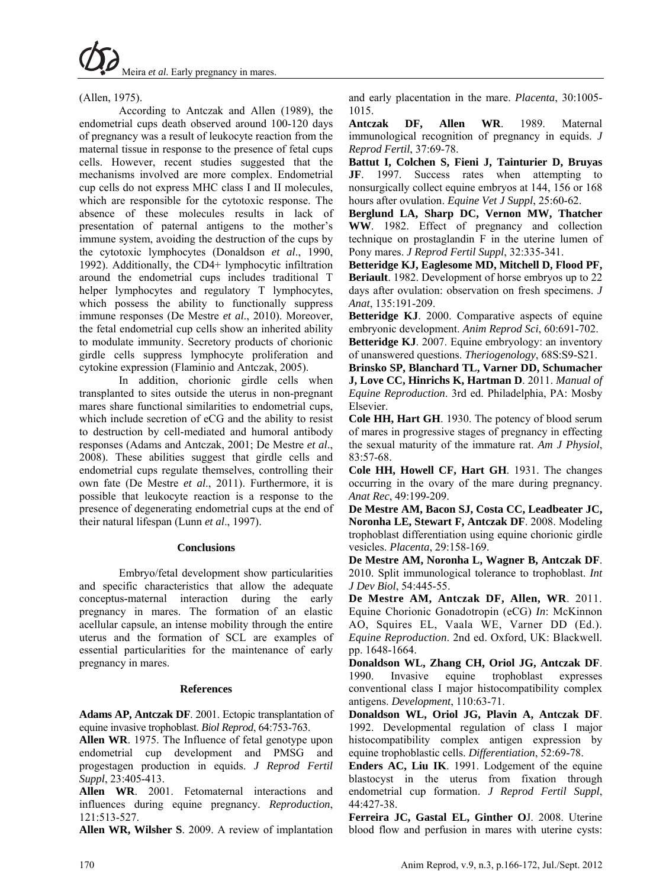(Allen, 1975).

According to Antczak and Allen (1989), the endometrial cups death observed around 100-120 days of pregnancy was a result of leukocyte reaction from the maternal tissue in response to the presence of fetal cups cells. However, recent studies suggested that the mechanisms involved are more complex. Endometrial cup cells do not express MHC class I and II molecules, which are responsible for the cytotoxic response. The absence of these molecules results in lack of presentation of paternal antigens to the mother's immune system, avoiding the destruction of the cups by the cytotoxic lymphocytes (Donaldson *et al*., 1990, 1992). Additionally, the CD4+ lymphocytic infiltration around the endometrial cups includes traditional T helper lymphocytes and regulatory T lymphocytes, which possess the ability to functionally suppress immune responses (De Mestre *et al*., 2010). Moreover, the fetal endometrial cup cells show an inherited ability to modulate immunity. Secretory products of chorionic girdle cells suppress lymphocyte proliferation and cytokine expression (Flaminio and Antczak, 2005).

In addition, chorionic girdle cells when transplanted to sites outside the uterus in non-pregnant mares share functional similarities to endometrial cups, which include secretion of eCG and the ability to resist to destruction by cell-mediated and humoral antibody responses (Adams and Antczak, 2001; De Mestre *et al*., 2008). These abilities suggest that girdle cells and endometrial cups regulate themselves, controlling their own fate (De Mestre *et al*., 2011). Furthermore, it is possible that leukocyte reaction is a response to the presence of degenerating endometrial cups at the end of their natural lifespan (Lunn *et al*., 1997).

#### **Conclusions**

Embryo/fetal development show particularities and specific characteristics that allow the adequate conceptus-maternal interaction during the early pregnancy in mares. The formation of an elastic acellular capsule, an intense mobility through the entire uterus and the formation of SCL are examples of essential particularities for the maintenance of early pregnancy in mares.

### **References**

**Adams AP, Antczak DF**. 2001. Ectopic transplantation of equine invasive trophoblast. *Biol Reprod*, 64:753-763.

**Allen WR**. 1975. The Influence of fetal genotype upon endometrial cup development and PMSG and progestagen production in equids. *J Reprod Fertil Suppl*, 23:405-413.

**Allen WR**. 2001. Fetomaternal interactions and influences during equine pregnancy. *Reproduction*, 121:513-527.

**Allen WR, Wilsher S**. 2009. A review of implantation

and early placentation in the mare. *Placenta*, 30:1005- 1015.

**Antczak DF, Allen WR**. 1989. Maternal immunological recognition of pregnancy in equids. *J Reprod Fertil*, 37:69-78.

**Battut I, Colchen S, Fieni J, Tainturier D, Bruyas JF**. 1997. Success rates when attempting to nonsurgically collect equine embryos at 144, 156 or 168 hours after ovulation. *Equine Vet J Suppl*, 25:60-62.

**Berglund LA, Sharp DC, Vernon MW, Thatcher WW**. 1982. Effect of pregnancy and collection technique on prostaglandin F in the uterine lumen of Pony mares. *J Reprod Fertil Suppl*, 32:335-341.

**Betteridge KJ, Eaglesome MD, Mitchell D, Flood PF, Beriault**. 1982. Development of horse embryos up to 22 days after ovulation: observation on fresh specimens. *J Anat*, 135:191-209.

**Betteridge KJ**. 2000. Comparative aspects of equine embryonic development. *Anim Reprod Sci*, 60:691-702.

**Betteridge KJ**. 2007. Equine embryology: an inventory of unanswered questions. *Theriogenology*, 68S:S9-S21.

**Brinsko SP, Blanchard TL, Varner DD, Schumacher J, Love CC, Hinrichs K, Hartman D**. 2011. *Manual of Equine Reproduction*. 3rd ed. Philadelphia, PA: Mosby Elsevier.

**Cole HH, Hart GH**. 1930. The potency of blood serum of mares in progressive stages of pregnancy in effecting the sexual maturity of the immature rat. *Am J Physiol*, 83:57-68.

**Cole HH, Howell CF, Hart GH**. 1931. The changes occurring in the ovary of the mare during pregnancy. *Anat Rec*, 49:199-209.

**De Mestre AM, Bacon SJ, Costa CC, Leadbeater JC, Noronha LE, Stewart F, Antczak DF**. 2008. Modeling trophoblast differentiation using equine chorionic girdle vesicles. *Placenta*, 29:158-169.

**De Mestre AM, Noronha L, Wagner B, Antczak DF**. 2010. Split immunological tolerance to trophoblast. *Int J Dev Biol*, 54:445-55.

**De Mestre AM, Antczak DF, Allen, WR**. 2011. Equine Chorionic Gonadotropin (eCG) *In*: McKinnon AO, Squires EL, Vaala WE, Varner DD (Ed.). *Equine Reproduction*. 2nd ed. Oxford, UK: Blackwell. pp. 1648-1664.

**Donaldson WL, Zhang CH, Oriol JG, Antczak DF**. 1990. Invasive equine trophoblast expresses conventional class I major histocompatibility complex antigens. *Development*, 110:63-71.

**Donaldson WL, Oriol JG, Plavin A, Antczak DF**. 1992. Developmental regulation of class I major histocompatibility complex antigen expression by equine trophoblastic cells. *Differentiation*, 52:69-78.

**Enders AC, Liu IK**. 1991. Lodgement of the equine blastocyst in the uterus from fixation through endometrial cup formation. *J Reprod Fertil Suppl*, 44:427-38.

**Ferreira JC, Gastal EL, Ginther O**J. 2008. Uterine blood flow and perfusion in mares with uterine cysts: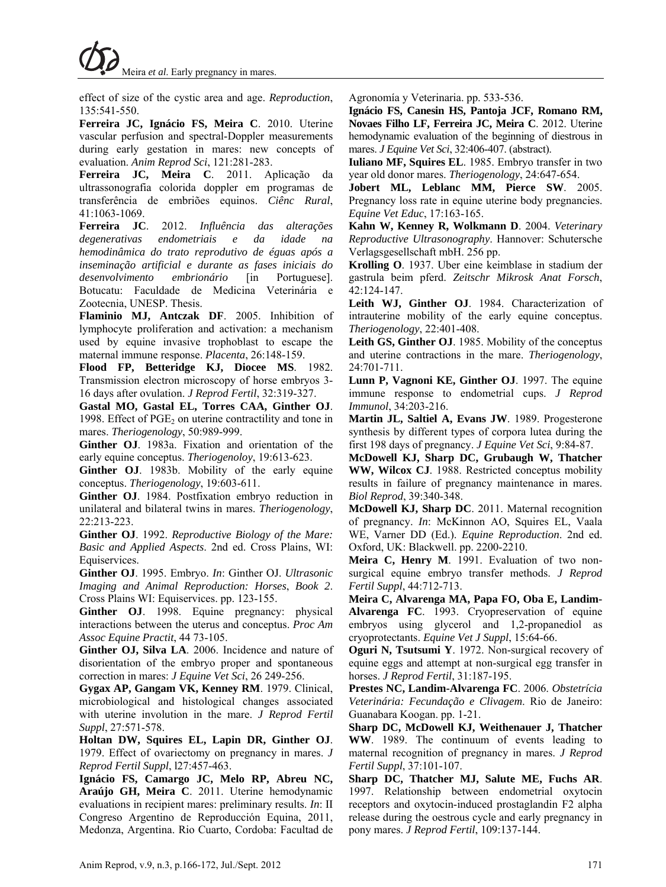effect of size of the cystic area and age. *Reproduction*, 135:541-550.

**Ferreira JC, Ignácio FS, Meira C**. 2010. Uterine vascular perfusion and spectral-Doppler measurements during early gestation in mares: new concepts of evaluation. *Anim Reprod Sci*, 121:281-283.

**Ferreira JC, Meira C**. 2011. Aplicação da ultrassonografia colorida doppler em programas de transferência de embriões equinos. *Ciênc Rural*, 41:1063-1069.

**Ferreira JC**. 2012. *Influência das alterações degenerativas endometriais e da idade na hemodinâmica do trato reprodutivo de éguas após a inseminação artificial e durante as fases iniciais do desenvolvimento embrionário* [in Portuguese]. Botucatu: Faculdade de Medicina Veterinária e Zootecnia, UNESP. Thesis.

**Flaminio MJ, Antczak DF**. 2005. Inhibition of lymphocyte proliferation and activation: a mechanism used by equine invasive trophoblast to escape the maternal immune response. *Placenta*, 26:148-159.

**Flood FP, Betteridge KJ, Diocee MS**. 1982. Transmission electron microscopy of horse embryos 3- 16 days after ovulation. *J Reprod Fertil*, 32:319-327.

**Gastal MO, Gastal EL, Torres CAA, Ginther OJ**. 1998. Effect of  $PGE<sub>2</sub>$  on uterine contractility and tone in mares. *Theriogenology*, 50:989-999.

**Ginther OJ**. 1983a. Fixation and orientation of the early equine conceptus. *Theriogenoloy*, 19:613-623.

**Ginther OJ**. 1983b. Mobility of the early equine conceptus. *Theriogenology*, 19:603-611.

**Ginther OJ**. 1984. Postfixation embryo reduction in unilateral and bilateral twins in mares. *Theriogenology*, 22:213-223.

**Ginther OJ**. 1992. *Reproductive Biology of the Mare: Basic and Applied Aspects*. 2nd ed. Cross Plains, WI: Equiservices.

**Ginther OJ**. 1995. Embryo. *In*: Ginther OJ. *Ultrasonic Imaging and Animal Reproduction: Horses*, *Book 2*. Cross Plains WI: Equiservices. pp. 123-155.

**Ginther OJ**. 1998. Equine pregnancy: physical interactions between the uterus and conceptus. *Proc Am Assoc Equine Practit*, 44 73-105.

**Ginther OJ, Silva LA**. 2006. Incidence and nature of disorientation of the embryo proper and spontaneous correction in mares: *J Equine Vet Sci*, 26 249-256.

**Gygax AP, Gangam VK, Kenney RM**. 1979. Clinical, microbiological and histological changes associated with uterine involution in the mare. *J Reprod Fertil Suppl*, 27:571-578.

**Holtan DW, Squires EL, Lapin DR, Ginther OJ**. 1979. Effect of ovariectomy on pregnancy in mares. *J Reprod Fertil Suppl*, l27:457-463.

**Ignácio FS, Camargo JC, Melo RP, Abreu NC, Araújo GH, Meira C**. 2011. Uterine hemodynamic evaluations in recipient mares: preliminary results. *In*: II Congreso Argentino de Reproducción Equina, 2011, Medonza, Argentina. Rio Cuarto, Cordoba: Facultad de Agronomía y Veterinaria. pp. 533-536.

**Ignácio FS, Canesin HS, Pantoja JCF, Romano RM, Novaes Filho LF, Ferreira JC, Meira C**. 2012. Uterine hemodynamic evaluation of the beginning of diestrous in mares. *J Equine Vet Sci*, 32:406-407. (abstract).

**Iuliano MF, Squires EL**. 1985. Embryo transfer in two year old donor mares. *Theriogenology*, 24:647-654.

**Jobert ML, Leblanc MM, Pierce SW**. 2005. Pregnancy loss rate in equine uterine body pregnancies. *Equine Vet Educ*, 17:163-165.

**Kahn W, Kenney R, Wolkmann D**. 2004. *Veterinary Reproductive Ultrasonography*. Hannover: Schutersche Verlagsgesellschaft mbH. 256 pp.

**Krolling O**. 1937. Uber eine keimblase in stadium der gastrula beim pferd. *Zeitschr Mikrosk Anat Forsch*, 42:124-147.

**Leith WJ, Ginther OJ**. 1984. Characterization of intrauterine mobility of the early equine conceptus. *Theriogenology*, 22:401-408.

**Leith GS, Ginther OJ**. 1985. Mobility of the conceptus and uterine contractions in the mare. *Theriogenology*, 24:701-711.

**Lunn P, Vagnoni KE, Ginther OJ**. 1997. The equine immune response to endometrial cups. *J Reprod Immunol*, 34:203-216.

**Martin JL, Saltiel A, Evans JW**. 1989. Progesterone synthesis by different types of corpora lutea during the first 198 days of pregnancy. *J Equine Vet Sci*, 9:84-87.

**McDowell KJ, Sharp DC, Grubaugh W, Thatcher WW, Wilcox CJ**. 1988. Restricted conceptus mobility results in failure of pregnancy maintenance in mares. *Biol Reprod*, 39:340-348.

**McDowell KJ, Sharp DC**. 2011. Maternal recognition of pregnancy. *In*: McKinnon AO, Squires EL, Vaala WE, Varner DD (Ed.). *Equine Reproduction*. 2nd ed. Oxford, UK: Blackwell. pp. 2200-2210.

**Meira C, Henry M**. 1991. Evaluation of two nonsurgical equine embryo transfer methods. *J Reprod Fertil Suppl*, 44:712-713.

**Meira C, Alvarenga MA, Papa FO, Oba E, Landim-Alvarenga FC**. 1993. Cryopreservation of equine embryos using glycerol and 1,2-propanediol as cryoprotectants. *Equine Vet J Suppl*, 15:64-66.

**Oguri N, Tsutsumi Y**. 1972. Non-surgical recovery of equine eggs and attempt at non-surgical egg transfer in horses. *J Reprod Fertil*, 31:187-195.

**Prestes NC, Landim-Alvarenga FC**. 2006. *Obstetrícia Veterinária: Fecundação e Clivagem*. Rio de Janeiro: Guanabara Koogan. pp. 1-21.

**Sharp DC, McDowell KJ, Weithenauer J, Thatcher WW**. 1989. The continuum of events leading to maternal recognition of pregnancy in mares. *J Reprod Fertil Suppl*, 37:101-107.

**Sharp DC, Thatcher MJ, Salute ME, Fuchs AR**. 1997. Relationship between endometrial oxytocin receptors and oxytocin-induced prostaglandin F2 alpha release during the oestrous cycle and early pregnancy in pony mares. *J Reprod Fertil*, 109:137-144.